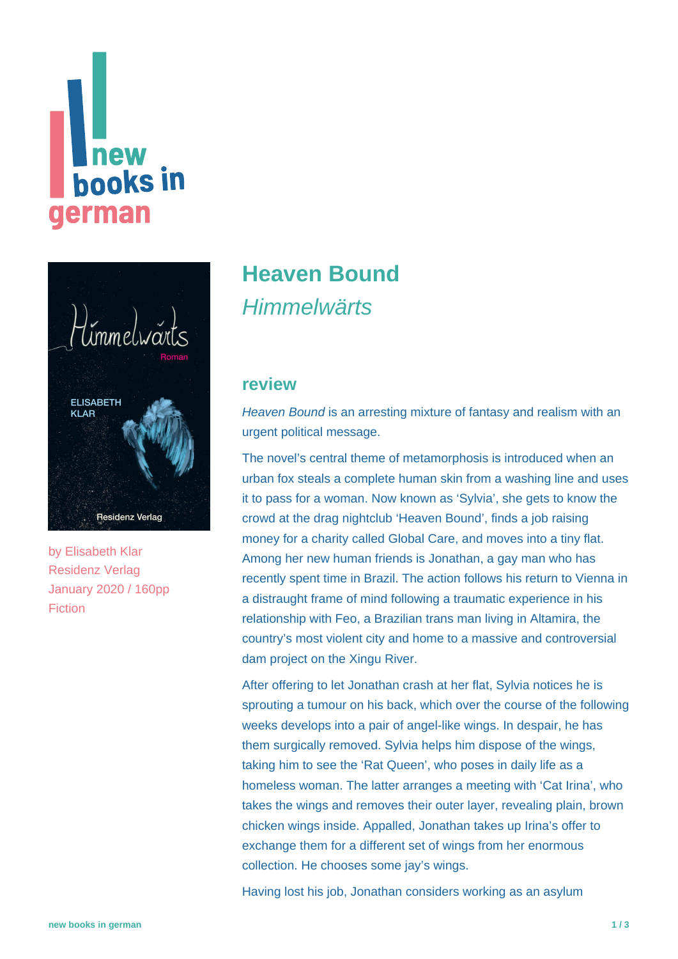# **Thew<br>books in** german



by [Elisabeth Klar](https://www.new-books-in-german.com/recommendations/?searchInput=Elisabeth%20Klar) Residenz Verlag January 2020 / 160pp Fiction

## **[Heaven Bound](https://www.new-books-in-german.com/recommendations/heaven-bound/) Himmelwärts**

#### **review**

Heaven Bound is an arresting mixture of fantasy and realism with an urgent political message.

The novel's central theme of metamorphosis is introduced when an urban fox steals a complete human skin from a washing line and uses it to pass for a woman. Now known as 'Sylvia', she gets to know the crowd at the drag nightclub 'Heaven Bound', finds a job raising money for a charity called Global Care, and moves into a tiny flat. Among her new human friends is Jonathan, a gay man who has recently spent time in Brazil. The action follows his return to Vienna in a distraught frame of mind following a traumatic experience in his relationship with Feo, a Brazilian trans man living in Altamira, the country's most violent city and home to a massive and controversial dam project on the Xingu River.

After offering to let Jonathan crash at her flat, Sylvia notices he is sprouting a tumour on his back, which over the course of the following weeks develops into a pair of angel-like wings. In despair, he has them surgically removed. Sylvia helps him dispose of the wings, taking him to see the 'Rat Queen', who poses in daily life as a homeless woman. The latter arranges a meeting with 'Cat Irina', who takes the wings and removes their outer layer, revealing plain, brown chicken wings inside. Appalled, Jonathan takes up Irina's offer to exchange them for a different set of wings from her enormous collection. He chooses some jay's wings.

Having lost his job, Jonathan considers working as an asylum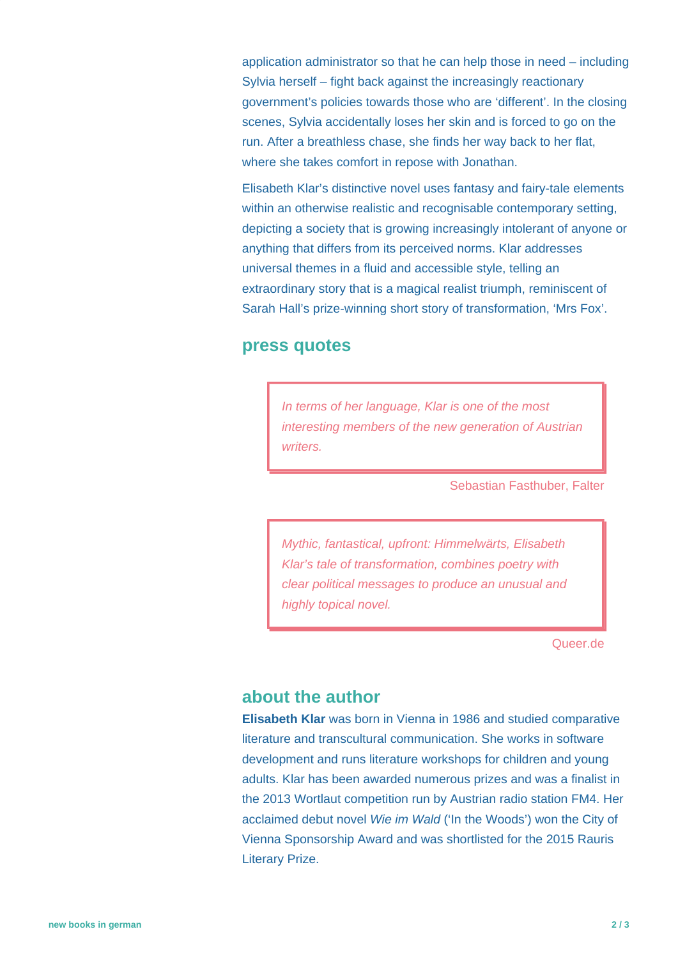application administrator so that he can help those in need – including Sylvia herself – fight back against the increasingly reactionary government's policies towards those who are 'different'. In the closing scenes, Sylvia accidentally loses her skin and is forced to go on the run. After a breathless chase, she finds her way back to her flat, where she takes comfort in repose with Jonathan.

Elisabeth Klar's distinctive novel uses fantasy and fairy-tale elements within an otherwise realistic and recognisable contemporary setting, depicting a society that is growing increasingly intolerant of anyone or anything that differs from its perceived norms. Klar addresses universal themes in a fluid and accessible style, telling an extraordinary story that is a magical realist triumph, reminiscent of Sarah Hall's prize-winning short story of transformation, 'Mrs Fox'.

#### **press quotes**

In terms of her language, Klar is one of the most interesting members of the new generation of Austrian writers.

Sebastian Fasthuber, Falter

Mythic, fantastical, upfront: Himmelwärts, Elisabeth Klar's tale of transformation, combines poetry with clear political messages to produce an unusual and highly topical novel.

Queer.de

#### **about the author**

**Elisabeth Klar** was born in Vienna in 1986 and studied comparative literature and transcultural communication. She works in software development and runs literature workshops for children and young adults. Klar has been awarded numerous prizes and was a finalist in the 2013 Wortlaut competition run by Austrian radio station FM4. Her acclaimed debut novel Wie im Wald ('In the Woods') won the City of Vienna Sponsorship Award and was shortlisted for the 2015 Rauris Literary Prize.